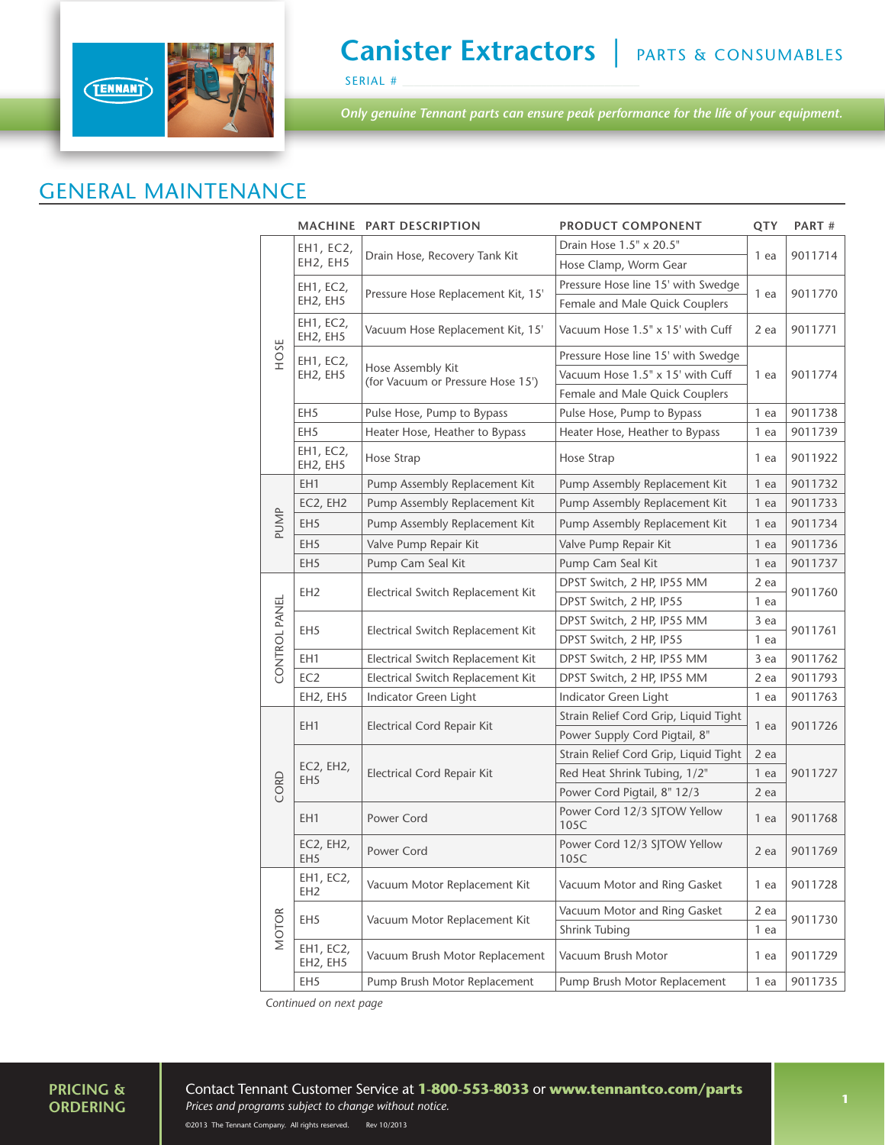

### **Canister Extractors** | PARTS & CONSUMABLES

SERIAL #

*Only genuine Tennant parts can ensure peak performance for the life of your equipment.*

#### GENERAL MAINTENANCE

|               |                              | MACHINE PART DESCRIPTION                               | <b>PRODUCT COMPONENT</b>              | QTY          | PART#   |
|---------------|------------------------------|--------------------------------------------------------|---------------------------------------|--------------|---------|
| HOSE          | EH1, EC2,<br>EH2, EH5        | Drain Hose, Recovery Tank Kit                          | Drain Hose 1.5" x 20.5"               | 1 ea         | 9011714 |
|               |                              |                                                        | Hose Clamp, Worm Gear                 |              |         |
|               | EH1, EC2,<br>EH2, EH5        | Pressure Hose Replacement Kit, 15'                     | Pressure Hose line 15' with Swedge    | 1 ea         | 9011770 |
|               |                              |                                                        | Female and Male Quick Couplers        |              |         |
|               | EH1, EC2,<br>EH2, EH5        | Vacuum Hose Replacement Kit, 15'                       | Vacuum Hose 1.5" x 15' with Cuff      | 2 ea         | 9011771 |
|               | EH1, EC2,<br>EH2, EH5        | Hose Assembly Kit<br>(for Vacuum or Pressure Hose 15') | Pressure Hose line 15' with Swedge    |              |         |
|               |                              |                                                        | Vacuum Hose 1.5" x 15' with Cuff      | 1 ea         | 9011774 |
|               |                              |                                                        | Female and Male Quick Couplers        |              |         |
|               | EH <sub>5</sub>              | Pulse Hose, Pump to Bypass                             | Pulse Hose, Pump to Bypass            | 1 ea         | 9011738 |
|               | EH <sub>5</sub>              | Heater Hose, Heather to Bypass                         | Heater Hose, Heather to Bypass        | 1 ea         | 9011739 |
|               | EH1, EC2,<br>EH2, EH5        | Hose Strap                                             | Hose Strap                            | 1 ea         | 9011922 |
|               | EH1                          | Pump Assembly Replacement Kit                          | Pump Assembly Replacement Kit         | 1 ea         | 9011732 |
|               | EC2, EH2                     | Pump Assembly Replacement Kit                          | Pump Assembly Replacement Kit         | 1 ea         | 9011733 |
| PUMP          | EH <sub>5</sub>              | Pump Assembly Replacement Kit                          | Pump Assembly Replacement Kit         | 1 ea         | 9011734 |
|               | EH <sub>5</sub>              | Valve Pump Repair Kit                                  | Valve Pump Repair Kit                 | 1 ea         | 9011736 |
|               | EH <sub>5</sub>              | Pump Cam Seal Kit                                      | Pump Cam Seal Kit                     | 1 ea         | 9011737 |
|               | EH <sub>2</sub>              | Electrical Switch Replacement Kit                      | DPST Switch, 2 HP, IP55 MM            | 2 ea<br>1 ea | 9011760 |
| CONTROL PANEL |                              |                                                        | DPST Switch, 2 HP, IP55               |              |         |
|               | EH <sub>5</sub>              | Electrical Switch Replacement Kit                      | DPST Switch, 2 HP, IP55 MM            | 3 ea         |         |
|               |                              |                                                        | DPST Switch, 2 HP, IP55               | 1 ea         | 9011761 |
|               | EH1                          | Electrical Switch Replacement Kit                      | DPST Switch, 2 HP, IP55 MM            | 3 ea         | 9011762 |
|               | EC <sub>2</sub>              | Electrical Switch Replacement Kit                      | DPST Switch, 2 HP, IP55 MM            | 2 ea         | 9011793 |
|               | EH2, EH5                     | Indicator Green Light                                  | Indicator Green Light                 | 1 ea         | 9011763 |
|               | EH <sub>1</sub>              | Electrical Cord Repair Kit                             | Strain Relief Cord Grip, Liquid Tight | 1 ea         | 9011726 |
|               |                              |                                                        | Power Supply Cord Pigtail, 8"         |              |         |
|               | EC2, EH2,<br>EH <sub>5</sub> | <b>Electrical Cord Repair Kit</b>                      | Strain Relief Cord Grip, Liquid Tight | 2 ea         | 9011727 |
| CORD          |                              |                                                        | Red Heat Shrink Tubing, 1/2"          | 1 ea         |         |
|               |                              |                                                        | Power Cord Pigtail, 8" 12/3           | 2 ea         |         |
|               | EH <sub>1</sub>              | Power Cord                                             | Power Cord 12/3 SJTOW Yellow<br>105C  | 1 ea         | 9011768 |
|               | EC2, EH2,<br>EH <sub>5</sub> | Power Cord                                             | Power Cord 12/3 SJTOW Yellow<br>105C  | 2 ea         | 9011769 |
| <b>MOTOR</b>  | EH1, EC2,<br>EH <sub>2</sub> | Vacuum Motor Replacement Kit                           | Vacuum Motor and Ring Gasket          | 1 ea         | 9011728 |
|               | EH <sub>5</sub>              | Vacuum Motor Replacement Kit                           | Vacuum Motor and Ring Gasket          | 2 ea<br>1 ea | 9011730 |
|               |                              |                                                        | Shrink Tubing                         |              |         |
|               | EH1, EC2,<br>EH2, EH5        | Vacuum Brush Motor Replacement                         | Vacuum Brush Motor                    | 1 ea         | 9011729 |
|               | EH5                          | Pump Brush Motor Replacement                           | Pump Brush Motor Replacement          | 1 ea         | 9011735 |

 *Continued on next page*

# **PRICING &**